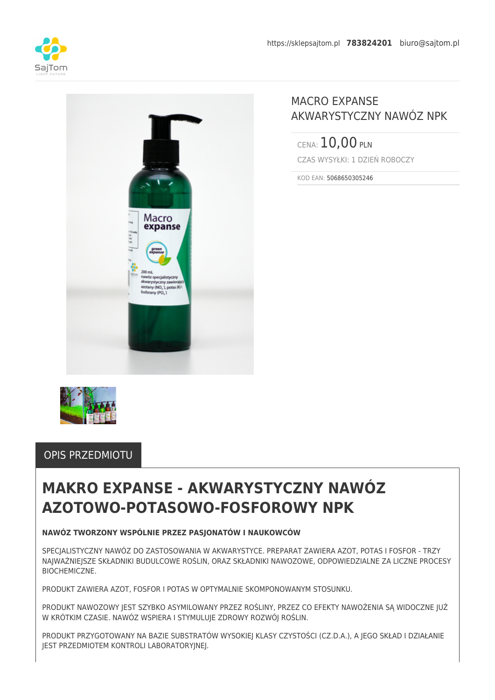



## MACRO EXPANSE AKWARYSTYCZNY NAWÓZ NPK

CENA: 10,00 PLN CZAS WYSYŁKI: 1 DZIEŃ ROBOCZY

KOD EAN: 5068650305246



### OPIS PRZEDMIOTU

# **MAKRO EXPANSE - AKWARYSTYCZNY NAWÓZ AZOTOWO-POTASOWO-FOSFOROWY NPK**

### **NAWÓZ TWORZONY WSPÓLNIE PRZEZ PASJONATÓW I NAUKOWCÓW**

SPECJALISTYCZNY NAWÓZ DO ZASTOSOWANIA W AKWARYSTYCE. PREPARAT ZAWIERA AZOT, POTAS I FOSFOR - TRZY NAJWAŻNIEJSZE SKŁADNIKI BUDULCOWE ROŚLIN, ORAZ SKŁADNIKI NAWOZOWE, ODPOWIEDZIALNE ZA LICZNE PROCESY **BIOCHEMICZNE** 

PRODUKT ZAWIERA AZOT, FOSFOR I POTAS W OPTYMALNIE SKOMPONOWANYM STOSUNKU.

PRODUKT NAWOZOWY JEST SZYBKO ASYMILOWANY PRZEZ ROŚLINY, PRZEZ CO EFEKTY NAWOŻENIA SĄ WIDOCZNE JUŻ W KRÓTKIM CZASIE. NAWÓZ WSPIERA I STYMULUJE ZDROWY ROZWÓJ ROŚLIN.

PRODUKT PRZYGOTOWANY NA BAZIE SUBSTRATÓW WYSOKIEJ KLASY CZYSTOŚCI (CZ.D.A.), A JEGO SKŁAD I DZIAŁANIE JEST PRZEDMIOTEM KONTROLI LABORATORYJNEJ.